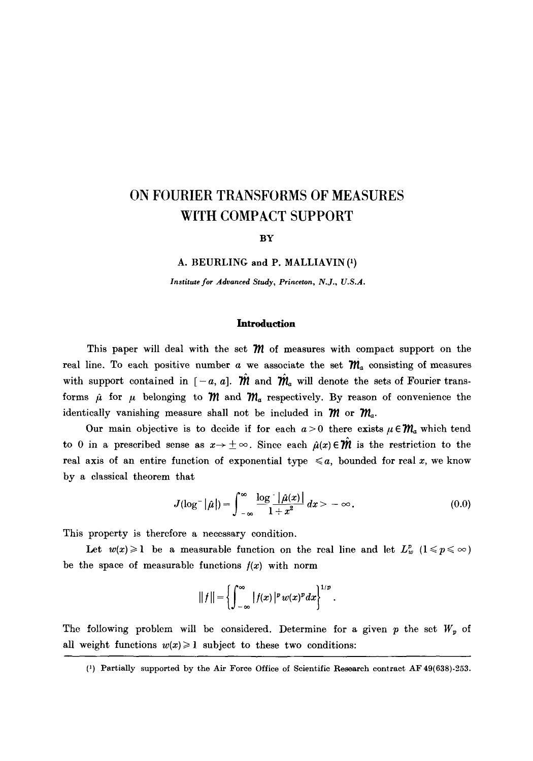# **ON FOURIER TRANSFORMS OF MEASURES WITH COMPACT SUPPORT**

#### **BY**

A. BEURLING and P. MALLIAVIN (1)

*Institute for Advanced Study, Princeton, N.J., U.S.A.* 

# **Introduction**

This paper will deal with the set  $\mathcal M$  of measures with compact support on the real line. To each positive number a we associate the set  $\mathcal{M}_a$  consisting of measures with support contained in  $[-a, a]$ .  $\hat{m}$  and  $\hat{m}$  will denote the sets of Fourier transforms  $\hat{\mu}$  for  $\mu$  belonging to  $\hat{\mathcal{M}}$  and  $\hat{\mathcal{M}}_a$  respectively. By reason of convenience the identically vanishing measure shall not be included in  $m$  or  $m_a$ .

Our main objective is to decide if for each  $a > 0$  there exists  $\mu \in \mathcal{M}_a$  which tend to 0 in a prescribed sense as  $x \to \pm \infty$ . Since each  $\hat{\mu}(x) \in \hat{\mathcal{W}}$  is the restriction to the real axis of an entire function of exponential type  $\leq a$ , bounded for real x, we know by a classical theorem that

$$
J(\log^{-}|\hat{\mu}|)=\int_{-\infty}^{\infty}\frac{\log\left|\hat{\mu}(x)\right|}{1+x^2}dx>-\infty.
$$
 (0.0)

This property is therefore a necessary condition.

Let  $w(x) \geq 1$  be a measurable function on the real line and let  $L^p_w$   $(1 \leq p \leq \infty)$ be the space of measurable functions  $f(x)$  with norm

$$
||f|| = \left\{\int_{-\infty}^{\infty} |f(x)|^p w(x)^p dx\right\}^{1/p}.
$$

The following problem will be considered. Determine for a given  $p$  the set  $W_p$  of all weight functions  $w(x) \ge 1$  subject to these two conditions:

(1) Partially supported by the Air Force Office of Scientific Research contract AF 49(638)-253.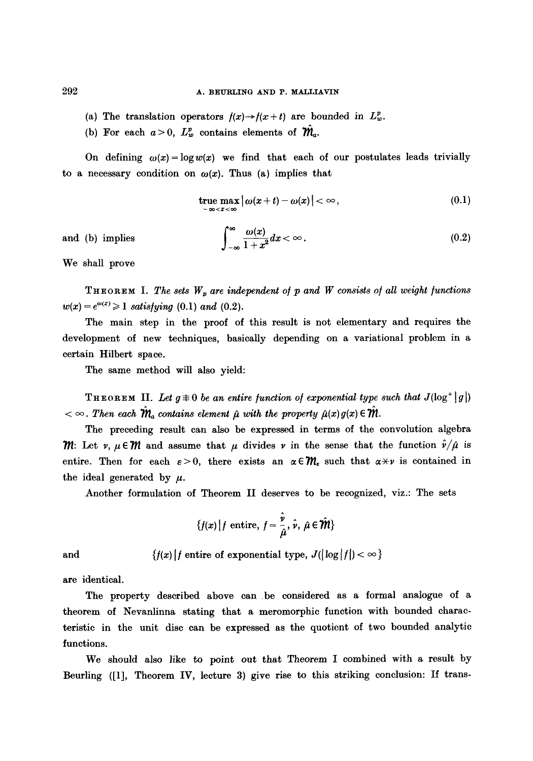(a) The translation operators  $f(x) \rightarrow f(x+t)$  are bounded in  $L^p_w$ .

a.c.

(b) For each  $a > 0$ ,  $L^p_w$  contains elements of  $\mathcal{W}_a$ .

On defining  $\omega(x)=\log w(x)$  we find that each of our postulates leads trivially to a necessary condition on  $\omega(x)$ . Thus (a) implies that

true max 
$$
|\omega(x+t) - \omega(x)| < \infty
$$
, (0.1)

and (b) implies

$$
\int_{-\infty}^{\infty} \frac{\omega(x)}{1+x^2} dx < \infty.
$$
 (0.2)

We shall prove

THEOREM I. The sets  $W_p$  are independent of  $p$  and  $W$  consists of all weight functions  $w(x) = e^{\omega(x)} \geq 1$  satisfying (0.1) and (0.2).

The main step in the proof of this result is not elementary and requires the development of new techniques, basically depending on a variational problem in a certain Hilbert space.

The same method will also yield:

**THEOREM II.** Let  $g \neq 0$  be an entire function of exponential type such that  $J(\log^+ | g |)$  $\alpha < \infty$ . Then each  $\hat{\mathcal{M}}_a$  contains element  $\hat{\mu}$  with the property  $\hat{\mu}(x) g(x) \in \hat{\mathcal{M}}_a$ .

The preceding result can also be expressed in terms of the convolution algebra  $\mathcal{W}$ : Let  $v, \mu \in \mathcal{W}$  and assume that  $\mu$  divides  $v$  in the sense that the function  $\hat{v}/\hat{\mu}$  is entire. Then for each  $\varepsilon > 0$ , there exists an  $\alpha \in \mathcal{W}_\varepsilon$  such that  $\alpha \star \nu$  is contained in the ideal generated by  $\mu$ .

Another formulation of Theorem II deserves to be recognized, viz.: The sets

$$
\{f(x)\,|\,f \text{ entire},\,f=\frac{\hat{\nu}}{\hat{\mu}},\,\hat{\nu},\,\hat{\mu}\in\hat{\mathcal{W}}\}
$$

and

$$
\{f(x) \mid f \text{ entire of exponential type, } J(\lfloor \log \lfloor f \rfloor) < \infty \}
$$

are identical.

The property described above can be considered as a formal analogue of a theorem of Nevanlinna stating that a meromorphic function with bounded characteristic in the unit disc can be expressed as the quotient of two bounded analytic functions.

We should also like to point out that Theorem I combined with a result by Beurling ([1], Theorem IV, lecture 3) give rise to this striking conclusion: If trans-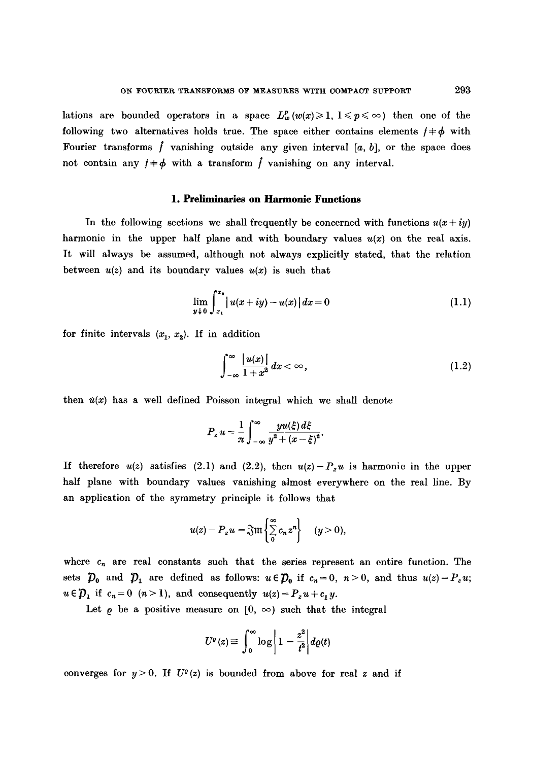lations are bounded operators in a space  $L^p_w(w(x)) \geq 1, 1 \leq p \leq \infty$  then one of the following two alternatives holds true. The space either contains elements  $f \neq \phi$  with Fourier transforms f vanishing outside any given interval [a, b], or the space does not contain any  $f \neq \phi$  with a transform  $\hat{f}$  vanishing on any interval.

# **1. Preliminaries on Harmonic Functions**

In the following sections we shall frequently be concerned with functions  $u(x+iy)$ harmonic in the upper half plane and with boundary values  $u(x)$  on the real axis. It will always be assumed, although not always explicitly stated, that the relation between  $u(z)$  and its boundary values  $u(x)$  is such that

$$
\lim_{y \downarrow 0} \int_{x_1}^{x_2} |u(x+iy) - u(x)| dx = 0 \tag{1.1}
$$

for finite intervals  $(x_1, x_2)$ . If in addition

$$
\int_{-\infty}^{\infty} \frac{|u(x)|}{1+x^2} dx < \infty,
$$
\n(1.2)

then  $u(x)$  has a well defined Poisson integral which we shall denote

$$
P_z u = \frac{1}{\pi} \int_{-\infty}^{\infty} \frac{yu(\xi) d\xi}{y^2 + (x - \xi)^2}.
$$

If therefore  $u(z)$  satisfies (2.1) and (2.2), then  $u(z)-P_z u$  is harmonic in the upper half plane with boundary values vanishing almost everywhere on the real line. By an application of the symmetry principle it follows that

$$
u(z)-P_z u=\mathfrak{Im}\left\{\sum_{0}^{\infty}c_nz^n\right\}\quad (y>0),
$$

where  $c_n$  are real constants such that the series represent an entire function. The sets  $\mathcal{D}_0$  and  $\mathcal{D}_1$  are defined as follows:  $u \in \mathcal{D}_0$  if  $c_n = 0$ ,  $n > 0$ , and thus  $u(z) = P_z u$ ;  $u \in \mathcal{D}_1$  if  $c_n = 0$   $(n>1)$ , and consequently  $u(z) = P_z u + c_1 y$ .

Let  $\rho$  be a positive measure on  $[0, \infty)$  such that the integral

$$
U^{\varrho}(z) \equiv \int_0^{\infty} \log \left| 1 - \frac{z^2}{t^2} \right| d\varrho(t)
$$

converges for  $y > 0$ . If  $U^{\rho}(z)$  is bounded from above for real z and if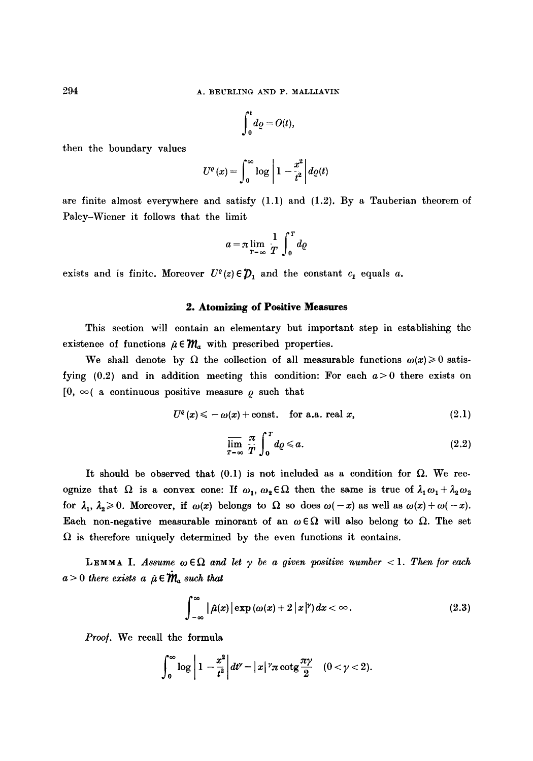$$
\int_0^t\!d\varrho=O(t),
$$

then the boundary values

$$
U^{e}(x) = \int_{0}^{\infty} \log \left| 1 - \frac{x^{2}}{\dot{t}^{2}} \right| d\varrho(t)
$$

are finite almost everywhere and satisfy (1.1) and (1.2). By a Tauberian theorem of Paley-Wiener it follows that the limit

$$
a = \pi \lim_{T \to \infty} \frac{1}{T} \int_0^T dq
$$

exists and is finite. Moreover  $U^{\varrho}(z) \in \mathcal{D}_1$  and the constant  $c_1$  equals a.

# **2. Atomizing of Positive Measures**

This section will contain an elementary but important step in establishing the existence of functions  $\hat{\mu} \in \mathcal{M}_a$  with prescribed properties.

We shall denote by  $\Omega$  the collection of all measurable functions  $\omega(x)\geq 0$  satisfying  $(0.2)$  and in addition meeting this condition: For each  $a > 0$  there exists on  $[0, \infty)$  a continuous positive measure  $\rho$  such that

$$
U^{\varrho}(x) \leqslant -\omega(x) + \text{const.} \quad \text{for a.a. real } x,
$$
\n(2.1)

$$
\overline{\lim}_{T \to \infty} \frac{\pi}{T} \int_0^T d\rho \leqslant a. \tag{2.2}
$$

It should be observed that  $(0.1)$  is not included as a condition for  $\Omega$ . We recognize that  $\Omega$  is a convex cone: If  $\omega_1, \omega_2 \in \Omega$  then the same is true of  $\lambda_1 \omega_1 + \lambda_2 \omega_2$ . for  $\lambda_1$ ,  $\lambda_2 \geq 0$ . Moreover, if  $\omega(x)$  belongs to  $\Omega$  so does  $\omega(-x)$  as well as  $\omega(x)+\omega(-x)$ . Each non-negative measurable minorant of an  $\omega \in \Omega$  will also belong to  $\Omega$ . The set  $\Omega$  is therefore uniquely determined by the even functions it contains.

**LEMMA I.** Assume  $\omega \in \Omega$  and let  $\gamma$  be a given positive number  $\langle 1$ . Then for each  $a > 0$  there exists a  $\hat{\mu} \in \hat{\mathcal{M}}_a$  such that

$$
\int_{-\infty}^{\infty} |\hat{\mu}(x)| \exp (\omega(x) + 2 |x|^{\gamma}) dx < \infty.
$$
 (2.3)

*Proo/.* We recall the formula

$$
\int_0^\infty \log \left| 1 - \frac{x^2}{t^2} \right| dt' = |x|^{\gamma} \pi \cot \frac{\pi \gamma}{2} \quad (0 < \gamma < 2).
$$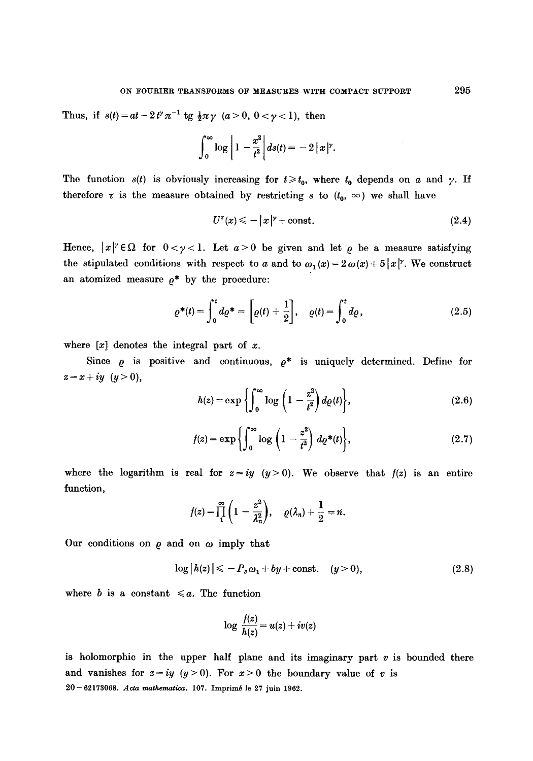Thus, if  $s(t) = at -2t^{\gamma} \pi^{-1}$  tg  $\frac{1}{2}\pi \gamma$   $(a > 0, 0 < \gamma < 1)$ , then

$$
\int_0^\infty \log \left| 1 - \frac{x^2}{t^2} \right| ds(t) = -2 |x|^{\gamma}.
$$

The function  $s(t)$  is obviously increasing for  $t \geq t_0$ , where  $t_0$  depends on a and  $\gamma$ . If therefore  $\tau$  is the measure obtained by restricting s to  $(t_0, \infty)$  we shall have

$$
U^{\tau}(x) \leqslant -|x|^{\gamma} + \text{const.} \tag{2.4}
$$

Hence,  $|x|^{v} \in \Omega$  for  $0 < y < 1$ . Let  $a > 0$  be given and let  $\varrho$  be a measure satisfying the stipulated conditions with respect to a and to  $\omega_1 (x) = 2 \omega (x) + 5 |x|$ . We construct an atomized measure  $\rho^*$  by the procedure:

$$
\varrho^*(t) = \int_0^t d\varrho^* = \left[\varrho(t) + \frac{1}{2}\right], \quad \varrho(t) = \int_0^t d\varrho, \tag{2.5}
$$

where  $[x]$  denotes the integral part of x.

Since  $\rho$  is positive and continuous,  $\rho^*$  is uniquely determined. Define for  $z = x + iy$   $(y > 0)$ ,

$$
h(z) = \exp\left\{ \int_0^\infty \log\left(1 - \frac{z^2}{t^2}\right) d\varrho(t) \right\},\tag{2.6}
$$

$$
f(z) = \exp\left\{\int_0^\infty \log\left(1 - \frac{z^2}{t^2}\right) d\varrho^*(t)\right\},\tag{2.7}
$$

where the logarithm is real for  $z=iy$  ( $y>0$ ). We observe that  $f(z)$  is an entire function,

$$
f(z)=\prod_1^{\infty}\left(1-\frac{z^2}{\lambda_n^2}\right), \quad \varrho(\lambda_n)+\frac{1}{2}=n.
$$

Our conditions on  $\rho$  and on  $\omega$  imply that

$$
\log|h(z)| \leq -P_z \omega_1 + by + \text{const.} \quad (y > 0), \tag{2.8}
$$

where b is a constant  $\leq a$ . The function

$$
\log \frac{f(z)}{h(z)} = u(z) + iv(z)
$$

is holomorphic in the upper half plane and its imaginary part  $v$  is bounded there and vanishes for  $z=iy$   $(y>0)$ . For  $x>0$  the boundary value of v is 20--62173068. *Acta mathematic, a,* 107. Imprim6 le 27 juin 1962.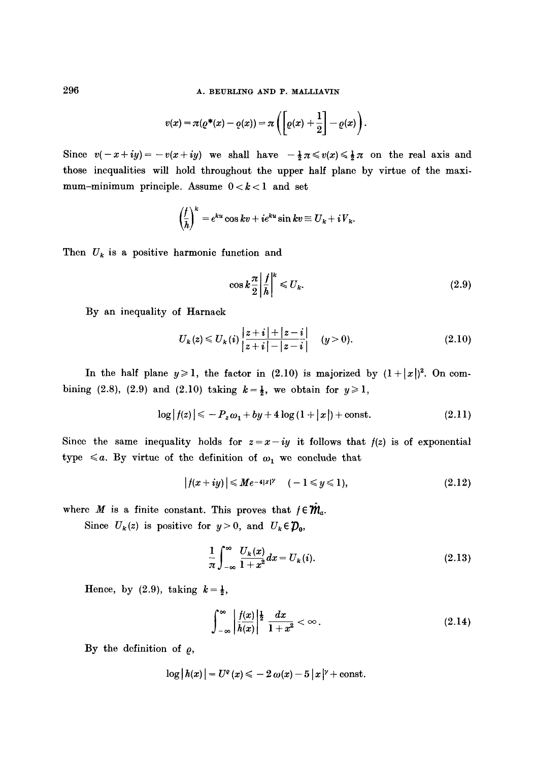296 **A. BEURLING AND P. MALLIAVIN** 

$$
v(x) = \pi(\varrho^*(x) - \varrho(x)) = \pi\left(\left[\varrho(x) + \frac{1}{2}\right] - \varrho(x)\right).
$$

Since  $v(-x+iy)=-v(x+iy)$  we shall have  $-\frac{1}{2}\pi \le v(x) \le \frac{1}{2}\pi$  on the real axis and those incqualities will hold throughout the upper half plane by virtue of the maximum-minimum principle. Assume  $0 < k < 1$  and set

$$
\left(\frac{f}{h}\right)^k = e^{ku}\cos kv + ie^{ku}\sin kv \equiv U_k + iV_k.
$$

Then  $U_k$  is a positive harmonic function and

$$
\cos k \frac{\pi}{2} \left| \frac{f}{h} \right|^{k} \le U_{k}.\tag{2.9}
$$

By an inequality of Harnack

$$
U_k(z) \leq U_k(i) \frac{|z+i|+|z-i|}{|z+i|-|z-i|} \quad (y>0). \tag{2.10}
$$

In the half plane  $y \ge 1$ , the factor in (2.10) is majorized by  $(1+|x|)^2$ . On combining (2.8), (2.9) and (2.10) taking  $k=\frac{1}{2}$ , we obtain for  $y\geqslant 1$ ,

$$
\log |f(z)| \leq -P_z \omega_1 + by + 4 \log (1 + |x|) + const. \tag{2.11}
$$

Since the same inequality holds for  $z=x-iy$  it follows that  $f(z)$  is of exponential type  $\leq a$ . By virtue of the definition of  $\omega_1$  we conclude that

$$
|f(x+iy)| \le Me^{-4|x|^\gamma} \quad (-1 \le y \le 1), \tag{2.12}
$$

where M is a finite constant. This proves that  $f \in \mathcal{W}_a$ .

Since  $U_k(z)$  is positive for  $y>0$ , and  $U_k \in \mathcal{D}_0$ ,

$$
\frac{1}{\pi} \int_{-\infty}^{\infty} \frac{U_k(x)}{1+x^2} dx = U_k(i).
$$
 (2.13)

Hence, by (2.9), taking  $k=\frac{1}{2}$ ,

$$
\int_{-\infty}^{\infty} \left| \frac{f(x)}{h(x)} \right|^{1\over 2} \frac{dx}{1+x^2} < \infty.
$$
 (2.14)

By the definition of  $\rho$ ,

$$
\log |h(x)| = U^e(x) \leq -2 \omega(x) - 5 |x|^{\gamma} + \text{const.}
$$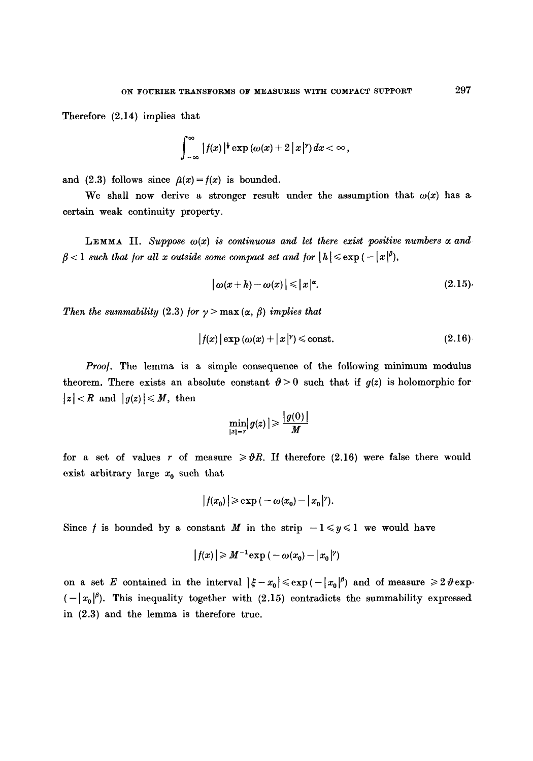Therefore (2.14) implies that

$$
\int_{-\infty}^{\infty} |f(x)|^{\frac{1}{2}} \exp (\omega(x)+2|x|^{\gamma}) dx < \infty,
$$

and (2.3) follows since  $\hat{\mu}(x) = f(x)$  is bounded.

We shall now derive a stronger result under the assumption that  $\omega(x)$  has a certain weak continuity property.

LEMMA II. Suppose  $\omega(x)$  is continuous and let there exist positive numbers  $\alpha$  and  $\beta$  < 1 such that for all x outside some compact set and for  $|h| \le \exp(-|x|^{\beta})$ ,

$$
|\omega(x+h)-\omega(x)| \leq |x|^{\alpha}.
$$
 (2.15)

*Then the summability* (2.3) for  $\gamma$  > max ( $\alpha$ ,  $\beta$ ) *implies that* 

$$
|f(x)| \exp(\omega(x) + |x|^{\gamma}) \leq \text{const.} \tag{2.16}
$$

Proof. The lemma is a simple consequence of the following minimum modulus theorem. There exists an absolute constant  $\vartheta > 0$  such that if  $g(z)$  is holomorphic for  $|z| < R$  and  $|g(z)| \leq M$ , then

$$
\min_{|z|=r} |g(z)| \geqslant \frac{|g(0)|}{M}
$$

for a set of values r of measure  $\geq \theta R$ . If therefore (2.16) were false there would exist arbitrary large  $x_0$  such that

$$
|f(x_0)| \geqslant \exp\left(-\omega(x_0)-|x_0|^{\gamma}\right).
$$

Since f is bounded by a constant M in the strip  $-1 \leq y \leq 1$  we would have

$$
|f(x)| \geqslant M^{-1} \exp\left(-\omega(x_0) - |x_0|^{\gamma}\right)
$$

on **a** set E contained in the interval  $|\xi - x_0| \leqslant \exp(-|x_0|^{\beta})$  and of measure  $\geqslant 2 \vartheta \exp(-|x_0|^{\beta})$  $\left(-\frac{1}{\alpha_0}\right)^{\beta}$ . This inequality together with (2.15) contradicts the summability expressed in (2.3) and the lemma is therefore true.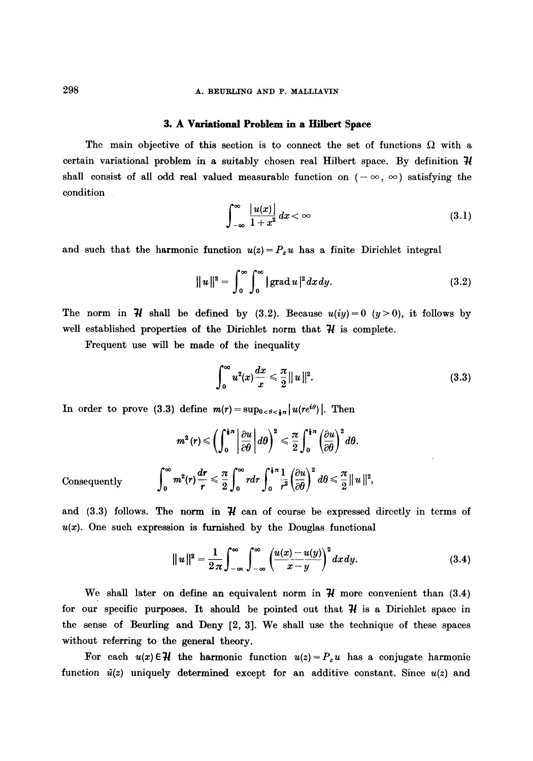# 298 **A. BEURLING AND P. MALLIAVIN**

#### 3. A Variational Problem in a Hilbert Space

The main objective of this section is to connect the set of functions  $\Omega$  with a certain variational problem in a suitably chosen real Hilbert space. By definition  $\mathcal{H}$ shall consist of all odd real valued measurable function on  $(-\infty, \infty)$  satisfying the condition

$$
\int_{-\infty}^{\infty} \frac{|u(x)|}{1+x^2} dx < \infty \tag{3.1}
$$

and such that the harmonic function  $u(z) = P_z u$  has a finite Dirichlet integral

$$
\|u\|^2 = \int_0^\infty \int_0^\infty |\operatorname{grad} u|^2 dx dy. \tag{3.2}
$$

The norm in  $\mathcal H$  shall be defined by (3.2). Because  $u(iy)=0$  ( $y>0$ ), it follows by well established properties of the Dirichlet norm that  $\mathcal H$  is complete.

Frequent use will be made of the inequality

$$
\int_0^\infty u^2(x) \frac{dx}{x} \le \frac{\pi}{2} ||u||^2.
$$
 (3.3)

In order to prove (3.3) define  $m(r) = \sup_{0 < \theta < \frac{1}{2}\pi} |u(re^{i\theta})|$ . Then

$$
m^2(r) \leqslant \left(\int_0^{\frac{1}{4}\pi} \left|\frac{\partial u}{\partial \theta}\right| d\theta\right)^2 \leqslant \frac{\pi}{2} \int_0^{\frac{1}{4}\pi} \left(\frac{\partial u}{\partial \theta}\right)^2 d\theta.
$$
  
Consequently 
$$
\int_0^\infty m^2(r) \frac{dr}{r} \leqslant \frac{\pi}{2} \int_0^\infty r dr \int_0^{\frac{1}{4}\pi} \frac{1}{r^2} \left(\frac{\partial u}{\partial \theta}\right)^2 d\theta \leqslant \frac{\pi}{2} ||u||^2,
$$

and (3.3) follows. The norm in  $\mathcal H$  can of course be expressed directly in terms of  $u(x)$ . One such expression is furnished by the Douglas functional

$$
\|u\|^2 = \frac{1}{2\pi} \int_{-\infty}^{\infty} \int_{-\infty}^{\infty} \left(\frac{u(x)-u(y)}{x-y}\right)^2 dx dy.
$$
 (3.4)

We shall later on define an equivalent norm in  $\mathcal H$  more convenient than (3.4) for our specific purposes. It should be pointed out that  $\mathcal H$  is a Dirichlet space in the sense of Beurling and Deny [2, 3]. We shall use the technique of these spaces without referring to the general theory.

For each  $u(x) \in \mathcal{H}$  the harmonic function  $u(z) = P_z u$  has a conjugate harmonic function  $\tilde{u}(z)$  uniquely determined except for an additive constant. Since  $u(z)$  and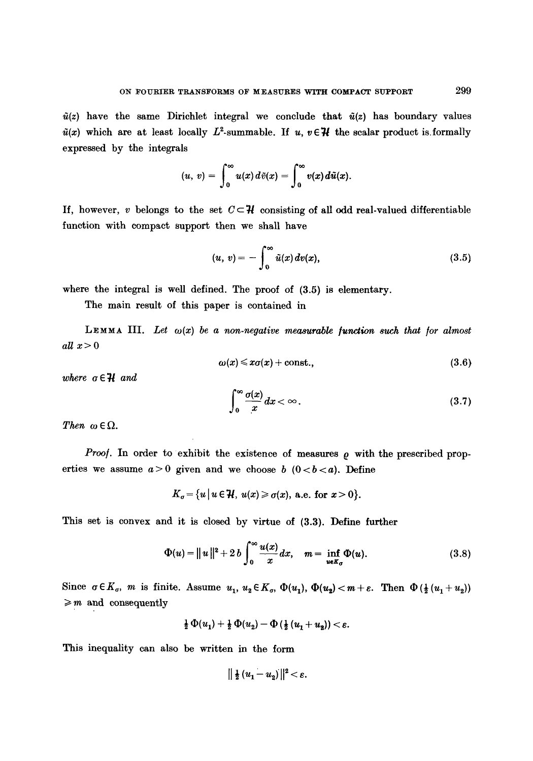$\tilde{u}(z)$  have the same Dirichlet integral we conclude that  $\tilde{u}(z)$  has boundary values  $\tilde{u}(x)$  which are at least locally  $L^2$ -summable. If u,  $v \in \mathcal{H}$  the scalar product is formally expressed by the integrals

$$
(u, v) = \int_0^\infty u(x) d\tilde{v}(x) = \int_0^\infty v(x) d\tilde{u}(x).
$$

If, however, v belongs to the set  $C \subset \mathcal{H}$  consisting of all odd real-valued differentiable function with compact support then we shall have

$$
(u, v) = -\int_0^\infty \tilde{u}(x) dv(x), \qquad (3.5)
$$

where the integral is well defined. The proof of (3.5) is elementary.

The main result of this paper is contained in

LEMMA III. Let  $\omega(x)$  be a non-negative measurable function such that for almost all  $x>0$ 

$$
\omega(x) \leq x\sigma(x) + \text{const.},\tag{3.6}
$$

*where*  $\sigma \in \mathcal{H}$  *and* 

$$
\int_0^\infty \frac{\sigma(x)}{x} dx < \infty.
$$
 (3.7)

*Then*  $\omega \in \Omega$ .

*Proof.* In order to exhibit the existence of measures  $\rho$  with the prescribed properties we assume  $a>0$  given and we choose b  $(0 < b < a)$ . Define

$$
K_{\sigma} = \{u \mid u \in \mathcal{H}, u(x) \geq \sigma(x), \text{ a.e. for } x > 0\}.
$$

This set is convex and it is closed by virtue of (3.3). Define further

$$
\Phi(u) = ||u||^2 + 2 b \int_0^\infty \frac{u(x)}{x} dx, \quad m = \inf_{u \in K_\sigma} \Phi(u). \tag{3.8}
$$

Since  $\sigma \in K_{\sigma}$ , *m* is finite. Assume  $u_1, u_2 \in K_{\sigma}$ ,  $\Phi(u_1), \Phi(u_2) < m + \varepsilon$ . Then  $\Phi(\frac{1}{2}(u_1 + u_2))$  $\geqslant m$  and consequently

$$
\frac{1}{2}\,\Phi(u_1)+\frac{1}{2}\,\Phi(u_2)-\Phi\left(\frac{1}{2}\,(u_1+u_2)\right)<\varepsilon.
$$

This inequality can also be written in the form

$$
\|\tfrac{1}{2}(u_1-u_2)\|^2<\varepsilon.
$$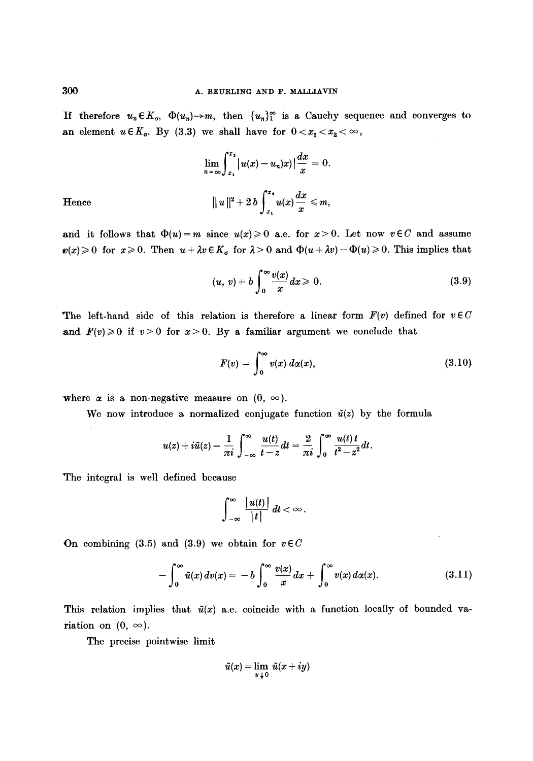If therefore  $u_n \in K_{\sigma}$ ,  $\Phi(u_n) \to m$ , then  $\{u_n\}_{n=1}^{\infty}$  is a Cauchy sequence and converges to an element  $u \in K_{\sigma}$ . By (3.3) we shall have for  $0 < x_1 < x_2 < \infty$ ,

Hence  

$$
\lim_{n \to \infty} \int_{x_1}^{x_2} |u(x) - u_n(x)| \frac{dx}{x} = 0.
$$

$$
||u||^2 + 2 b \int_{x_1}^{x_2} u(x) \frac{dx}{x} \le m,
$$

and it follows that  $\Phi(u)=m$  since  $u(x)\geq 0$  a.e. for  $x>0$ . Let now  $v\in C$  and assume  $w(x) \ge 0$  for  $x \ge 0$ . Then  $u + \lambda v \in K_{\sigma}$  for  $\lambda > 0$  and  $\Phi(u + \lambda v) - \Phi(u) \ge 0$ . This implies that

$$
(u, v) + b \int_0^\infty \frac{v(x)}{x} dx \geq 0. \tag{3.9}
$$

The left-hand side of this relation is therefore a linear form  $F(v)$  defined for  $v \in C$ and  $F(v) \ge 0$  if  $v > 0$  for  $x > 0$ . By a familiar argument we conclude that

$$
F(v) = \int_0^\infty v(x) \, d\alpha(x), \tag{3.10}
$$

where  $\alpha$  is a non-negative measure on  $(0, \infty)$ .

We now introduce a normalized conjugate function  $\tilde{u}(z)$  by the formula

$$
u(z)+i\tilde{u}(z)=\frac{1}{\pi i}\int_{-\infty}^{\infty}\frac{u(t)}{t-z}dt=\frac{2}{\pi i}\int_{0}^{\infty}\frac{u(t)\,t}{t^2-z^2}dt.
$$

The integral is well defined because

$$
\int_{-\infty}^{\infty}\frac{|u(t)|}{|t|}\,dt<\infty\,.
$$

On combining  $(3.5)$  and  $(3.9)$  we obtain for  $v \in C$ 

$$
-\int_0^\infty \tilde{u}(x)\,dv(x)=-b\int_0^\infty \frac{v(x)}{x}\,dx+\int_0^\infty v(x)\,d\alpha(x). \tag{3.11}
$$

This relation implies that  $\tilde{u}(x)$  a.e. coincide with a function locally of bounded variation on  $(0, \infty)$ .

The precise pointwise limit

$$
\tilde{u}(x) = \lim_{y \downarrow 0} \tilde{u}(x+iy)
$$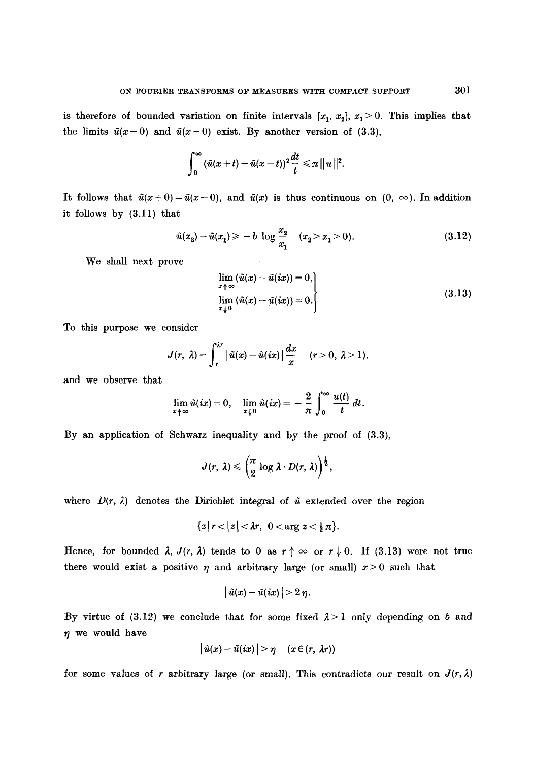is therefore of bounded variation on finite intervals  $[x_1, x_2], x_1 > 0$ . This implies that the limits  $\tilde{u}(x-0)$  and  $\tilde{u}(x+0)$  exist. By another version of (3.3),

$$
\int_0^\infty (\tilde u(x+t)-\tilde u(x-t))^2\frac{dt}{t}\leq \pi ||u||^2.
$$

It follows that  $\tilde{u}(x+0)=\tilde{u}(x-0)$ , and  $\tilde{u}(x)$  is thus continuous on  $(0, \infty)$ . In addition it follows by (3.11) that

$$
\tilde{u}(x_2) - \tilde{u}(x_1) \ge -b \log \frac{x_2}{x_1} \quad (x_2 > x_1 > 0). \tag{3.12}
$$

We shall next prove

$$
\lim_{\substack{x \to \infty \\ y \downarrow 0}} (\tilde{u}(x) - \tilde{u}(ix)) = 0,
$$
\n
$$
\lim_{\substack{x \to 0 \\ y \downarrow 0}} (\tilde{u}(x) - \tilde{u}(ix)) = 0.
$$
\n(3.13)

To this purpose we consider

$$
J(r, \lambda) = \int_r^{\lambda r} |\tilde{u}(x) - \tilde{u}(ix)| \frac{dx}{x} \quad (r > 0, \lambda > 1),
$$

and we observe that

$$
\lim_{x \uparrow \infty} \tilde{u}(ix) = 0, \quad \lim_{x \downarrow 0} \tilde{u}(ix) = -\frac{2}{\pi} \int_0^\infty \frac{u(t)}{t} dt.
$$

By an application of Schwarz inequality and by the proof of (3.3),

$$
J(r, \lambda) \leqslant \left(\frac{\pi}{2}\log \lambda \cdot D(r, \lambda)\right)^{\frac{1}{2}},
$$

where  $D(r, \lambda)$  denotes the Dirichlet integral of  $\tilde{u}$  extended over the region

$$
\{z \, | \, r<|z|<\lambda r, \ 0<\arg z<\tfrac{1}{2}\pi\}.
$$

Hence, for bounded  $\lambda$ ,  $J(r, \lambda)$  tends to 0 as  $r \uparrow \infty$  or  $r \downarrow 0$ . If (3.13) were not true there would exist a positive  $\eta$  and arbitrary large (or small)  $x > 0$  such that

$$
\big|\,\tilde u(x)-\tilde u(ix)\,\big| \!>\! 2\,\eta.
$$

By virtue of (3.12) we conclude that for some fixed  $\lambda > 1$  only depending on b and  $\eta$  we would have

$$
|\tilde{u}(x)-\tilde{u}(ix)|>\eta \quad (x\in(r,\lambda r))
$$

for some values of r arbitrary large (or small). This contradicts our result on  $J(r, \lambda)$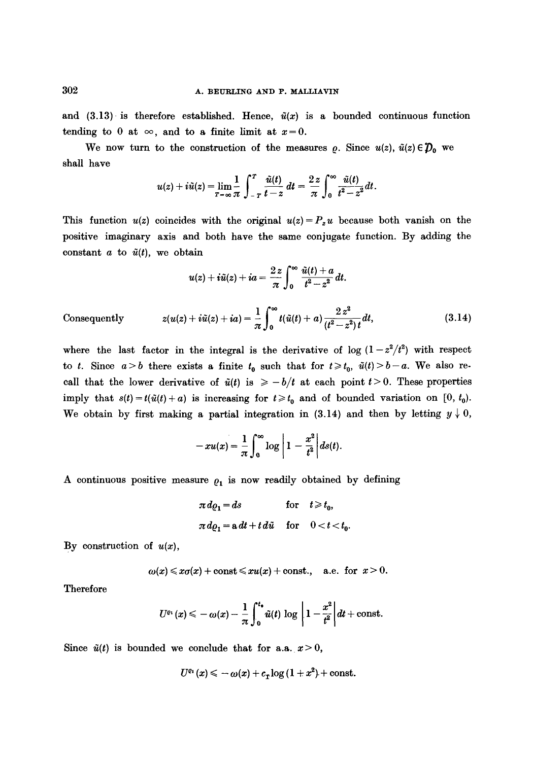and (3.13) is therefore established. Hence,  $\tilde{u}(x)$  is a bounded continuous function tending to 0 at  $\infty$ , and to a finite limit at  $x=0$ .

We now turn to the construction of the measures  $\rho$ . Since  $u(z)$ ,  $\tilde{u}(z) \in \mathcal{D}_0$  we shall have

$$
u(z)+i\tilde{u}(z)=\lim_{T\to\infty}\frac{1}{\pi}\int_{-T}^{T}\frac{\tilde{u}(t)}{t-z}\,dt=\frac{2z}{\pi}\int_{0}^{\infty}\frac{\tilde{u}(t)}{t^2-z^2}dt.
$$

This function  $u(z)$  coincides with the original  $u(z)=P_zu$  because both vanish on the positive imaginary axis and both have the same conjugate function. By adding the constant  $a$  to  $\tilde{u}(t)$ , we obtain

$$
u(z)+i\tilde{u}(z)+ia=\frac{2 z}{\pi}\int_0^\infty \frac{\tilde{u}(t)+a}{t^2-z^2}dt.
$$

Consequently 
$$
z(u(z) + i\tilde{u}(z) + i a) = \frac{1}{\pi} \int_0^\infty t(\tilde{u}(t) + a) \frac{2 z^2}{(t^2 - z^2)t} dt,
$$
 (3.14)

where the last factor in the integral is the derivative of log  $(1-z^2/t^2)$  with respect to t. Since  $a > b$  there exists a finite  $t_0$  such that for  $t \geq t_0$ ,  $\tilde{u}(t) > b-a$ . We also recall that the lower derivative of  $\tilde{u}(t)$  is  $\geq -b/t$  at each point  $t > 0$ . These properties imply that  $s(t) = t(\tilde{u}(t) + a)$  is increasing for  $t \geq t_0$  and of bounded variation on [0, t<sub>0</sub>). We obtain by first making a partial integration in (3.14) and then by letting  $y \downarrow 0$ ,

$$
-xu(x)=\frac{1}{\pi}\int_0^\infty\log\left|1-\frac{x^2}{t^2}\right|ds(t).
$$

A continuous positive measure  $\rho_1$  is now readily obtained by defining

$$
\pi d\varrho_1 = ds \quad \text{for} \quad t \geq t_0,
$$
  

$$
\pi d\varrho_1 = a dt + t d\tilde{u} \quad \text{for} \quad 0 < t < t_0.
$$

By construction of  $u(x)$ ,

$$
\omega(x) \leq x\sigma(x) + \text{const} \leq xu(x) + \text{const.}, \quad \text{a.e. for } x > 0.
$$

Therefore

$$
U^{\varrho_1}(x) \leq -\omega(x) - \frac{1}{\pi} \int_0^{t_*} \tilde{u}(t) \, \log \left| 1 - \frac{x^2}{t^2} \right| dt + \text{const.}
$$

Since  $\tilde{u}(t)$  is bounded we conclude that for a.a.  $x > 0$ ,

$$
U^{\varrho_1}(x) \leqslant -\omega(x) + c_r \log\left(1+x^2\right) + \text{const.}
$$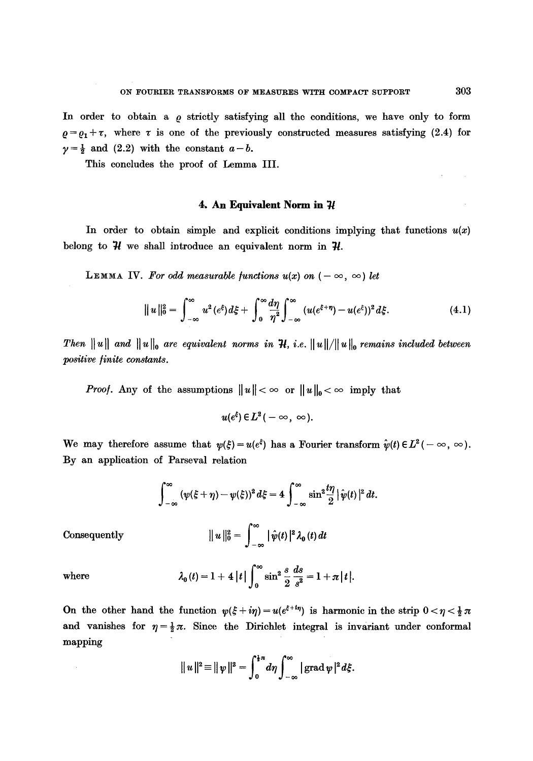In order to obtain a  $\rho$  strictly satisfying all the conditions, we have only to form  $\rho = \rho_1 + \tau$ , where  $\tau$  is one of the previously constructed measures satisfying (2.4) for  $\gamma = \frac{1}{2}$  and (2.2) with the constant  $a-b$ .

This concludes the proof of Lemma III.

# **4. An Equivalent Norm in**  $\mathcal{H}$

In order to obtain simple and explicit conditions implying that functions  $u(x)$ belong to  $\mathcal H$  we shall introduce an equivalent norm in  $\mathcal H$ .

LEMMA IV. For odd measurable functions  $u(x)$  on  $(-\infty, \infty)$  let

$$
||u||_0^2 = \int_{-\infty}^{\infty} u^2(e^{\xi}) d\xi + \int_0^{\infty} \frac{d\eta}{\eta^2} \int_{-\infty}^{\infty} (u(e^{\xi+\eta}) - u(e^{\xi}))^2 d\xi.
$$
 (4.1)

*Then* $||u||$  **and**  $||u||_0$  **are equivalent norms in H, i.e.**  $||u||/||u||_0$  **remains included between** *positive linite constants.* 

*Proof.* Any of the assumptions  $||u|| < \infty$  or  $||u||_0 < \infty$  imply that

$$
u(e^{\xi})\in L^2(-\infty,\ \infty).
$$

We may therefore assume that  $\psi(\xi) = u(e^{\xi})$  has a Fourier transform  $\hat{\psi}(t) \in L^2(-\infty, \infty)$ . By an application of Parseval relation

$$
\int_{-\infty}^{\infty} (\psi(\xi + \eta) - \psi(\xi))^2 d\xi = 4 \int_{-\infty}^{\infty} \sin^2 \frac{t\eta}{2} |\hat{\psi}(t)|^2 dt
$$
  
Consequently 
$$
||u||_0^2 = \int_{-\infty}^{\infty} |\hat{\psi}(t)|^2 \lambda_0(t) dt
$$

where 
$$
\lambda_0(t) = 1 + 4|t| \int_0^\infty \sin^2 \frac{s}{2} \frac{ds}{s^2} = 1 + \pi|t|.
$$

On the other hand the function  $\psi(\xi + i\eta) = u(e^{\xi + i\eta})$  is harmonic in the strip  $0 < \eta < \frac{1}{2}\pi$ and vanishes for  $\eta = \frac{1}{2}\pi$ . Since the Dirichlet integral is invariant under conformal mapping

$$
||u||2 \equiv ||\psi||2 = \int_0^{\frac{1}{2}\pi} d\eta \int_{-\infty}^{\infty} | \operatorname{grad} \psi |2 d\xi.
$$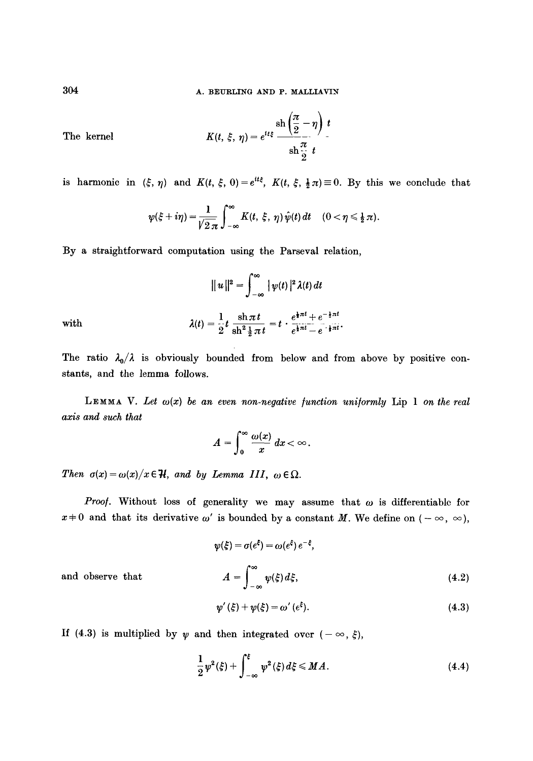The Kernel 
$$
K(t, \xi, \eta) = e^{it\xi} \frac{\operatorname{sh} \left(\frac{\pi}{2} - \eta\right) t}{\operatorname{sh} \frac{\pi}{2} t}
$$

is harmonic in  $(\xi, \eta)$  and  $K(t, \xi, 0) = e^{it\xi}$ ,  $K(t, \xi, \frac{1}{2}\pi) \equiv 0$ . By this we conclude that

$$
\psi(\xi+i\eta)=\frac{1}{\sqrt{2\,\pi}}\int_{-\infty}^{\infty}K(t,\,\xi,\,\eta)\,\hat{\psi}(t)\,dt\quad (0<\eta\leq\frac{1}{2}\,\pi).
$$

By a straightforward computation using the Parseval relation,

$$
\|u\|^2=\int_{-\infty}^{\infty}|\psi(t)|^2\lambda(t)\,dt
$$

1,  $\sin \pi t$   $e^{\frac{i}{2}\pi t} + e^{-\frac{i}{2}\pi t}$ with  $A(t) = \frac{1}{9}t \frac{1}{\sin^2 1 \pi t} = t \cdot \frac{1}{e^{\frac{1}{3} \pi t} - e^{-\frac{1}{3} \pi t}}.$ 

The ratio  $\lambda_0/\lambda$  is obviously bounded from below and from above by positive constants, and the lemma follows.

**LEMMA** V. Let  $\omega(x)$  be an even non-negative function uniformly Lip 1 on the real *axis and such that* 

$$
A=\int_0^\infty \frac{\omega(x)}{x}\,dx<\infty.
$$

*Then*  $\sigma(x) = \omega(x)/x \in \mathcal{H}$ , and by Lemma III,  $\omega \in \Omega$ .

*Proof.* Without loss of generality we may assume that  $\omega$  is differentiable for  $x \neq 0$  and that its derivative  $\omega'$  is bounded by a constant M. We define on  $(-\infty, \infty)$ ,

$$
\psi(\xi) = \sigma(e^{\xi}) = \omega(e^{\xi}) e^{-\xi},
$$
  

$$
A = \int_{-\infty}^{\infty} \psi(\xi) d\xi,
$$
 (4.2)

and observe that

$$
\psi'(\xi) + \psi(\xi) = \omega' (e^{\xi}). \tag{4.3}
$$

If (4.3) is multiplied by  $\psi$  and then integrated over  $(-\infty, \xi)$ ,

$$
\frac{1}{2}\,\psi^2(\xi) + \int_{-\infty}^{\xi} \psi^2(\xi)\,d\xi \leq M\,.
$$
 (4.4)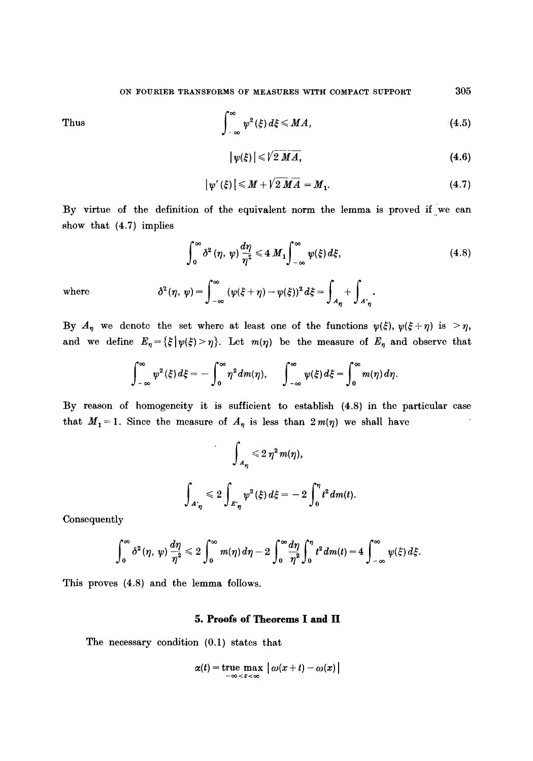Thus

$$
\int_{-\infty}^{\infty} \psi^2(\xi) d\xi \le MA, \tag{4.5}
$$

$$
|\psi(\xi)| \leqslant \sqrt{2} \, \overline{M} \, \overline{A}, \tag{4.6}
$$

$$
|\psi'(\xi)| \leq M + \sqrt{2 M A} = M_1. \tag{4.7}
$$

:By virtue of the definition of the equivalent norm the lemma is proved if we can show that (4.7) implies

$$
\int_0^\infty \delta^2(\eta, \, \psi) \frac{d\eta}{\eta^2} \leqslant 4 \, M_1 \int_{-\infty}^\infty \psi(\xi) \, d\xi, \tag{4.8}
$$

where 
$$
\delta^2(\eta, \, \psi) = \int_{-\infty}^{\infty} (\psi(\xi + \eta) - \psi(\xi))^2 d\xi = \int_{A_{\eta}} + \int_{A_{\eta}}.
$$

By  $A_{\eta}$  we denote the set where at least one of the functions  $\psi(\xi), \psi(\xi+\eta)$  is  $>\eta$ , and we define  $E_{\eta}=\{\xi|\psi(\xi)>\eta\}$ . Let  $m(\eta)$  be the measure of  $E_{\eta}$  and observe that

$$
\int_{-\infty}^{\infty} \psi^2(\xi) d\xi = -\int_0^{\infty} \eta^2 dm(\eta), \qquad \int_{-\infty}^{\infty} \psi(\xi) d\xi = \int_0^{\infty} m(\eta) d\eta
$$

:By reason of homogeneity it is sufficient to establish (4.8)in the particular case that  $M_1 = 1$ . Since the measure of  $A_n$  is less than  $2m(\eta)$  we shall have

$$
\int_{A_{\eta}} \leq 2 \eta^2 m(\eta),
$$
  

$$
\int_{A_{\eta}} \leq 2 \int_{E_{\eta}} \psi^2(\xi) d\xi = -2 \int_0^{\eta} t^2 dm(t).
$$

Consequently

$$
\int_0^\infty \delta^2(\eta, \, \psi) \, \frac{d\eta}{\eta^2} \leqslant 2 \int_0^\infty m(\eta) \, d\eta - 2 \int_0^\infty \frac{d\eta}{\eta^2} \int_0^\eta t^2 \, dm(t) = 4 \int_{-\infty}^\infty \psi(\xi) \, d\xi.
$$

This proves (4.8) and the lemma follows.

### **5. Proofs of Theorems I and lI**

The necessary condition (0.1) states that

$$
\alpha(t) = \text{true} \max_{-\infty < x < \infty} |\omega(x+t) - \omega(x)|
$$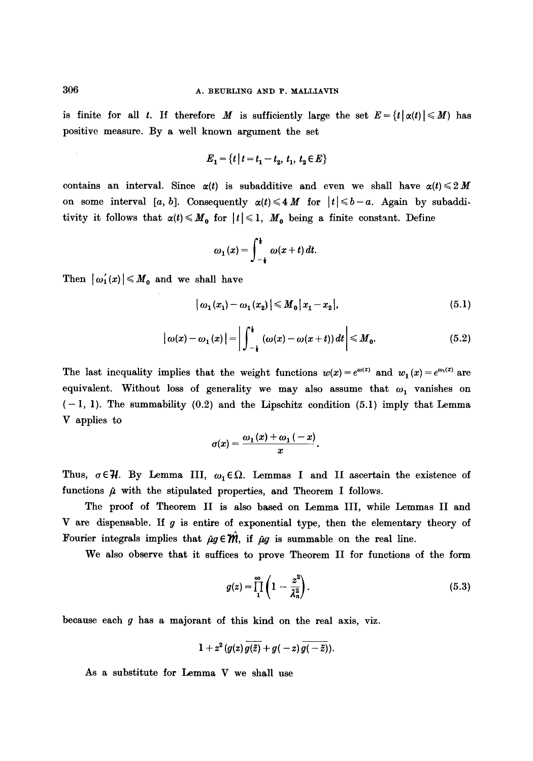is finite for all t. If therefore M is sufficiently large the set  $E = \{t | \alpha(t) | \leq M \}$  has positive measure. By a well known argument the set

$$
E_1 = \{t \mid t = t_1 - t_2, t_1, t_2 \in E\}
$$

contains an interval. Since  $\alpha(t)$  is subadditive and even we shall have  $\alpha(t) \leq 2M$ on some interval [a, b]. Consequently  $\alpha(t) \leq 4 M$  for  $|t| \leq b-a$ . Again by subadditivity it follows that  $\alpha(t) \leq M_0$  for  $|t| \leq 1$ ,  $M_0$  being a finite constant. Define

$$
\omega_1(x) = \int_{-\frac{1}{2}}^{\frac{1}{2}} \omega(x+t) dt.
$$

Then  $|\omega_1'(x)| \leqslant M_0$  and we shall have

$$
|\omega_1(x_1)-\omega_1(x_2)| \leq M_0 |x_1-x_2|,
$$
\n(5.1)

$$
\left|\omega(x)-\omega_1(x)\right|=\left|\int_{-\frac{1}{2}}^{\frac{1}{2}}\left(\omega(x)-\omega(x+t)\right)dt\right|\leq M_0.
$$
\n(5.2)

The last inequality implies that the weight functions  $w(x) = e^{\omega(x)}$  and  $w_1(x) = e^{\omega_1(x)}$  are equivalent. Without loss of generality we may also assume that  $\omega_1$  vanishes on  $(-1, 1)$ . The summability  $(0.2)$  and the Lipschitz condition  $(5.1)$  imply that Lemma V applies to

$$
\sigma(x)=\frac{\omega_1(x)+\omega_1(-x)}{x}.
$$

Thus,  $\sigma \in \mathcal{H}$ . By Lemma III,  $\omega_1 \in \Omega$ . Lemmas I and II ascertain the existence of functions  $\hat{\mu}$  with the stipulated properties, and Theorem I follows.

The proof of Theorem II is also based on Lemma III, while Lemmas II and V are dispensable. If  $g$  is entire of exponential type, then the elementary theory of Fourier integrals implies that  $\hat{\mu}g \in \hat{m}$ , if  $\hat{\mu}g$  is summable on the real line.

We also observe that it suffices to prove Theorem II for functions of the form

$$
g(z) = \prod_{1}^{\infty} \left( 1 - \frac{z^2}{\lambda_n^2} \right). \tag{5.3}
$$

because each  $g$  has a majorant of this kind on the real axis, viz.

$$
1+z^2(g(z)\overline{g(\bar{z})}+g(-z)\overline{g(-\bar{z})}).
$$

As a substitute for Lemma  $V$  we shall use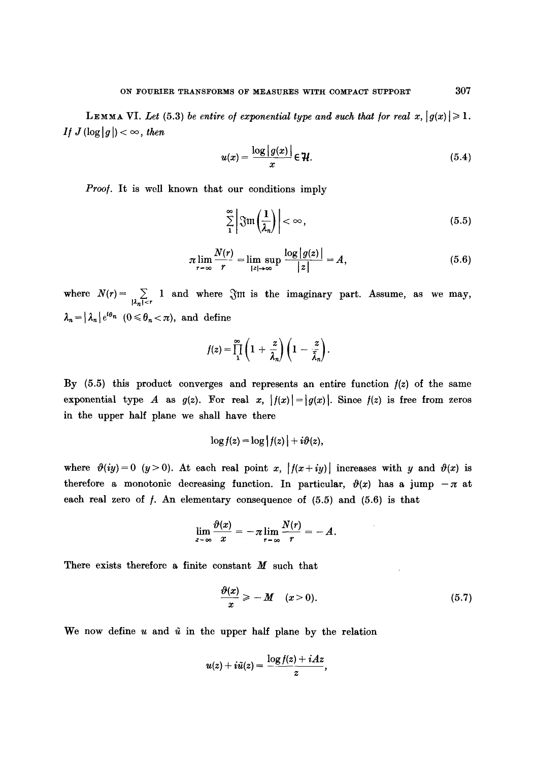**LEMMA VI.** Let (5.3) be entire of exponential type and such that for real  $x, |g(x)| \geq 1$ . *If*  $J(\log|g|) < \infty$ , then

$$
u(x) = \frac{\log|g(x)|}{x} \in \mathcal{H}.
$$
 (5.4)

*Proof.* It is well known that our conditions imply

$$
\sum_{1}^{\infty} \left| \mathfrak{Fm}\left(\frac{1}{\lambda_n}\right) \right| < \infty,\tag{5.5}
$$

$$
\pi \lim_{r \to \infty} \frac{N(r)}{r} = \lim_{|z| \to \infty} \sup \frac{\log |g(z)|}{|z|} = A, \tag{5.6}
$$

where  $N(r) = \sum_{|\lambda_n| < r} 1$  and where  $\Im$ m is the imaginary part. Assume, as we may,  $\lambda_n = |\lambda_n| e^{i\theta_n}$  ( $0 \le \theta_n < \pi$ ), and define

$$
f(z) = \prod_1^{\infty} \left(1 + \frac{z}{\lambda_n}\right) \left(1 - \frac{z}{\overline{\lambda}_n}\right).
$$

By (5.5) this product converges and represents an entire function */(z)* of the same exponential type A as  $g(z)$ . For real x,  $|f(x)| = |g(x)|$ . Since  $f(z)$  is free from zeros in the upper half plane we shall have there

$$
\log f(z) = \log |f(z)| + i\vartheta(z),
$$

where  $\vartheta(iy)=0$  (y > 0). At each real point x,  $|f(x+iy)|$  increases with y and  $\vartheta(x)$  is therefore a monotonic decreasing function. In particular,  $\vartheta(x)$  has a jump  $-\pi$  at each real zero of  $f$ . An elementary consequence of  $(5.5)$  and  $(5.6)$  is that

$$
\lim_{x=\infty}\frac{\vartheta(x)}{x}=-\pi\lim_{r=\infty}\frac{N(r)}{r}=-A.
$$

There exists therefore a finite constant  $M$  such that

$$
\frac{\partial(x)}{x} \geqslant -M \quad (x>0). \tag{5.7}
$$

We now define u and  $\tilde{u}$  in the upper half plane by the relation

$$
u(z)+i\tilde{u}(z)=\frac{\log f(z)+iAz}{z},
$$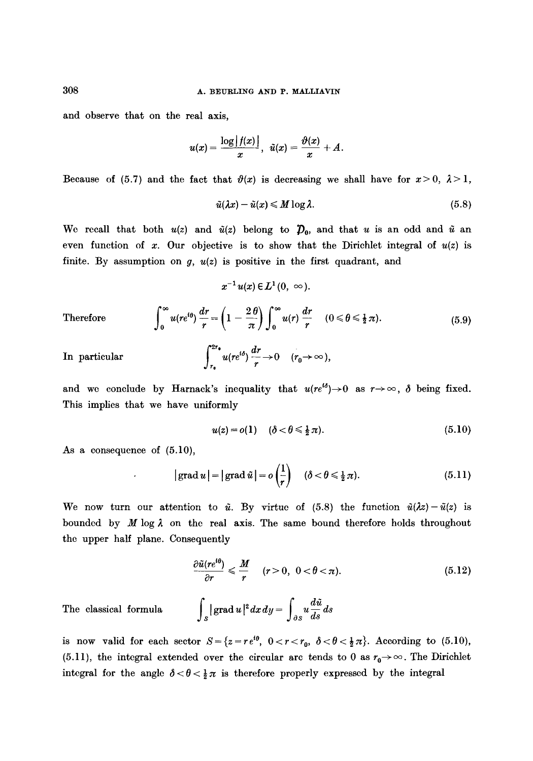and observe that on the real axis,

$$
u(x)=\frac{\log |f(x)|}{x}, \ \tilde{u}(x)=\frac{\vartheta(x)}{x}+A.
$$

Because of (5.7) and the fact that  $\vartheta(x)$  is decreasing we shall have for  $x>0$ ,  $\lambda>1$ ,

$$
\tilde{u}(\lambda x) - \tilde{u}(x) \leqslant M \log \lambda. \tag{5.8}
$$

We recall that both  $u(z)$  and  $\tilde{u}(z)$  belong to  $\mathcal{D}_0$ , and that u is an odd and  $\tilde{u}$  an even function of x. Our objective is to show that the Dirichlet integral of  $u(z)$  is finite. By assumption on *g*,  $u(z)$  is positive in the first quadrant, and

$$
x^{-1}u(x)\in L^1(0,\ \infty).
$$

Therefore  $u(re^{i\theta}) - = (1 - \frac{2\pi}{\pi}) + u(r) - \frac{2\pi}{\pi} + (0 \le \theta \le \frac{1}{2}\pi).$  (5.9)  $r \left( \pi / J_0 \right)$  r

$$
\int_{r_0}^{2r_0} u(re^{i\delta}) \frac{dr}{r} \to 0 \quad (r_0 \to \infty)
$$

and we conclude by Harnack's inequality that  $u(re^{i\delta})\rightarrow 0$  as  $r\rightarrow\infty$ ,  $\delta$  being fixed. This implies that we have uniformly

$$
u(z) = o(1) \quad (\delta < \theta \leq \frac{1}{2}\pi). \tag{5.10}
$$

As a consequence of (5.10),

In particular

$$
|\operatorname{grad} u| = |\operatorname{grad} \tilde{u}| = o\left(\frac{1}{r}\right) \quad (\delta < \theta \le \frac{1}{2}\pi). \tag{5.11}
$$

We now turn our attention to  $\tilde{u}$ . By virtue of (5.8) the function  $\tilde{u}(\lambda z)-\tilde{u}(z)$  is bounded by M log  $\lambda$  on the real axis. The same bound therefore holds throughout the upper half plane. Consequently

$$
\frac{\partial \tilde{u}(re^{i\theta})}{\partial r} \leqslant \frac{M}{r} \quad (r > 0, \ 0 < \theta < \pi). \tag{5.12}
$$

The classical formula  $\int_{S} |\text{grad } u|^2 dx dy = \int_{\partial S} u \frac{d\mathbf{x}}{ds} ds$ 

is now valid for each sector  $S = \{z = re^{i\theta}, 0 < r < r_0, \ \delta < \theta < \frac{1}{2}\pi\}$ . According to (5.10), (5.11), the integral extended over the circular arc tends to 0 as  $r_0 \rightarrow \infty$ . The Dirichlet integral for the angle  $\delta < \theta < \frac{1}{2}\pi$  is therefore properly expressed by the integral